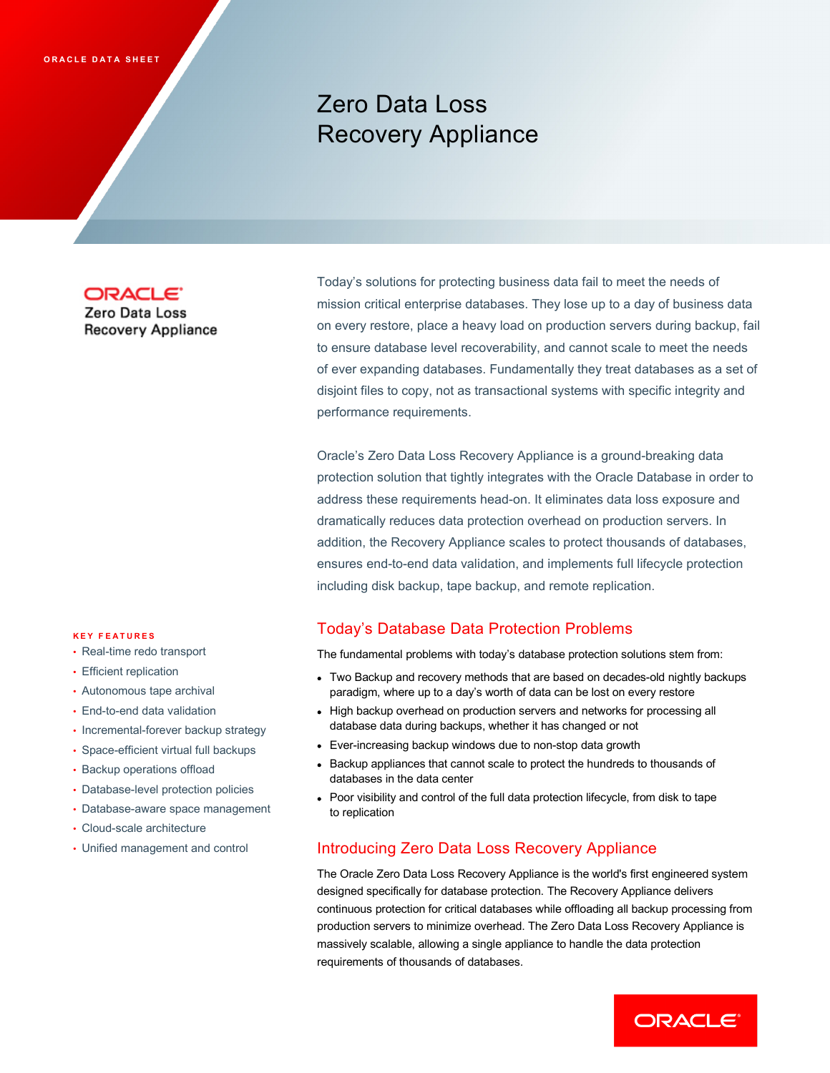# Zero Data Loss Recovery Appliance

# **ORACLE**

Zero Data Loss **Recovery Appliance** 

mission critical enterprise databases. They lose up to a day of business data on every restore, place a heavy load on production servers during backup, fail to ensure database level recoverability, and cannot scale to meet the needs of ever expanding databases. Fundamentally they treat databases as a set of disjoint files to copy, not as transactional systems with specific integrity and performance requirements.

Today's solutions for protecting business data fail to meet the needs of

Oracle's Zero Data Loss Recovery Appliance is a ground-breaking data protection solution that tightly integrates with the Oracle Database in order to address these requirements head-on. It eliminates data loss exposure and dramatically reduces data protection overhead on production servers. In addition, the Recovery Appliance scales to protect thousands of databases, ensures end-to-end data validation, and implements full lifecycle protection including disk backup, tape backup, and remote replication.

# Today's Database Data Protection Problems

The fundamental problems with today's database protection solutions stem from:

- Two Backup and recovery methods that are based on decades-old nightly backups paradigm, where up to a day's worth of data can be lost on every restore
- High backup overhead on production servers and networks for processing all database data during backups, whether it has changed or not
- Ever-increasing backup windows due to non-stop data growth
- Backup appliances that cannot scale to protect the hundreds to thousands of databases in the data center
- Poor visibility and control of the full data protection lifecycle, from disk to tape to replication

# Introducing Zero Data Loss Recovery Appliance

The Oracle Zero Data Loss Recovery Appliance is the world's first engineered system designed specifically for database protection. The Recovery Appliance delivers continuous protection for critical databases while offloading all backup processing from production servers to minimize overhead. The Zero Data Loss Recovery Appliance is massively scalable, allowing a single appliance to handle the data protection requirements of thousands of databases.



#### **KEY FEATURES**

- Real-time redo transport
- Efficient replication
- Autonomous tape archival
- End-to-end data validation
- Incremental-forever backup strategy
- Space-efficient virtual full backups
- Backup operations offload
- Database-level protection policies
- Database-aware space management
- Cloud-scale architecture
- Unified management and control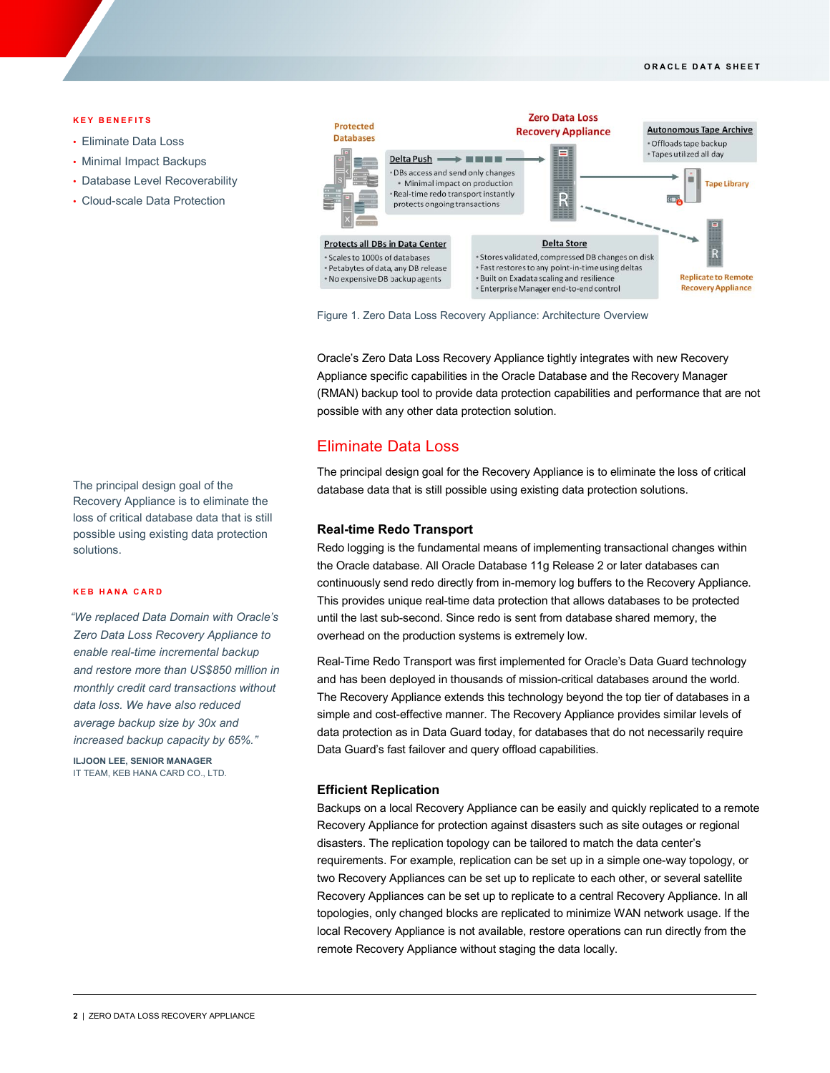#### **KEY BENEFITS**

- Eliminate Data Loss
- Minimal Impact Backups
- Database Level Recoverability
- Cloud-scale Data Protection

The principal design goal of the Recovery Appliance is to eliminate the loss of critical database data that is still possible using existing data protection solutions.

#### **KEB HANA CARD**

*"We replaced Data Domain with Oracle's Zero Data Loss Recovery Appliance to enable real-time incremental backup and restore more than US\$850 million in monthly credit card transactions without data loss. We have also reduced average backup size by 30x and increased backup capacity by 65%."*

**ILJOON LEE, SENIOR MANAGER** IT TEAM, KEB HANA CARD CO., LTD.



Figure 1. Zero Data Loss Recovery Appliance: Architecture Overview

Oracle's Zero Data Loss Recovery Appliance tightly integrates with new Recovery Appliance specific capabilities in the Oracle Database and the Recovery Manager (RMAN) backup tool to provide data protection capabilities and performance that are not possible with any other data protection solution.

# Eliminate Data Loss

The principal design goal for the Recovery Appliance is to eliminate the loss of critical database data that is still possible using existing data protection solutions.

# **Real-time Redo Transport**

Redo logging is the fundamental means of implementing transactional changes within the Oracle database. All Oracle Database 11g Release 2 or later databases can continuously send redo directly from in-memory log buffers to the Recovery Appliance. This provides unique real-time data protection that allows databases to be protected until the last sub-second. Since redo is sent from database shared memory, the overhead on the production systems is extremely low.

Real-Time Redo Transport was first implemented for Oracle's Data Guard technology and has been deployed in thousands of mission-critical databases around the world. The Recovery Appliance extends this technology beyond the top tier of databases in a simple and cost-effective manner. The Recovery Appliance provides similar levels of data protection as in Data Guard today, for databases that do not necessarily require Data Guard's fast failover and query offload capabilities.

#### **Efficient Replication**

Backups on a local Recovery Appliance can be easily and quickly replicated to a remote Recovery Appliance for protection against disasters such as site outages or regional disasters. The replication topology can be tailored to match the data center's requirements. For example, replication can be set up in a simple one-way topology, or two Recovery Appliances can be set up to replicate to each other, or several satellite Recovery Appliances can be set up to replicate to a central Recovery Appliance. In all topologies, only changed blocks are replicated to minimize WAN network usage. If the local Recovery Appliance is not available, restore operations can run directly from the remote Recovery Appliance without staging the data locally.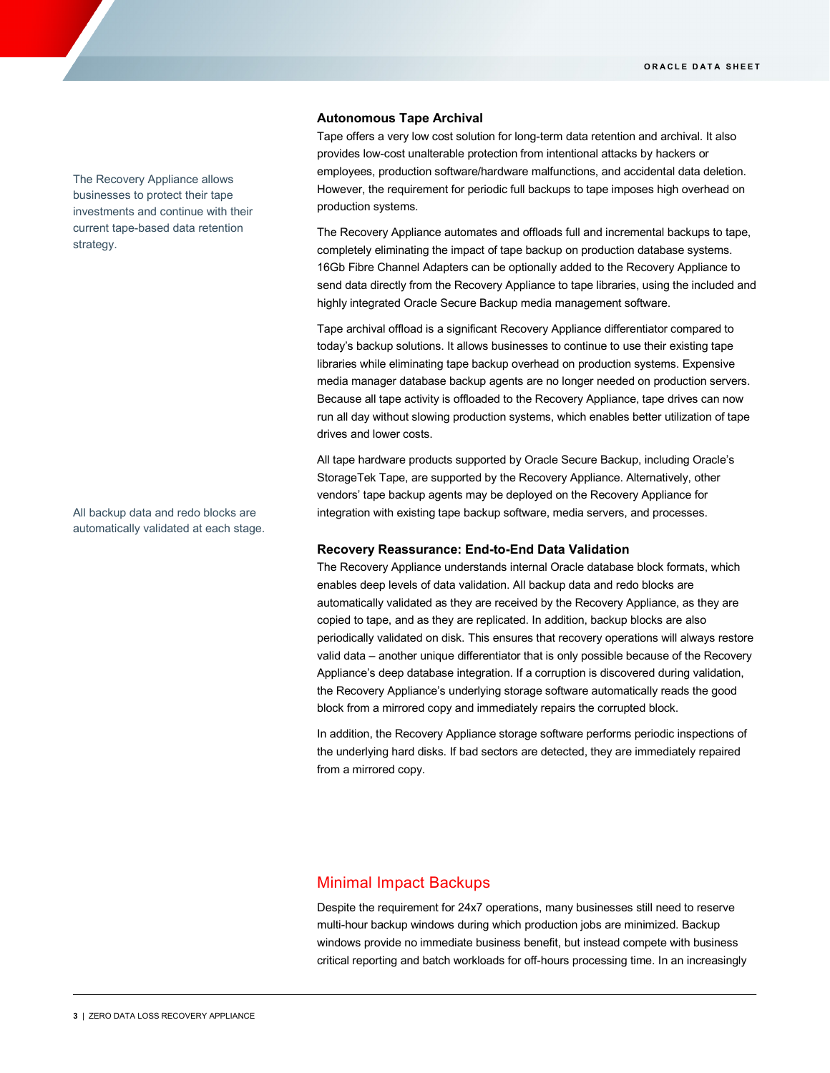#### **Autonomous Tape Archival**

Tape offers a very low cost solution for long-term data retention and archival. It also provides low-cost unalterable protection from intentional attacks by hackers or employees, production software/hardware malfunctions, and accidental data deletion. However, the requirement for periodic full backups to tape imposes high overhead on production systems.

The Recovery Appliance automates and offloads full and incremental backups to tape, completely eliminating the impact of tape backup on production database systems. 16Gb Fibre Channel Adapters can be optionally added to the Recovery Appliance to send data directly from the Recovery Appliance to tape libraries, using the included and highly integrated Oracle Secure Backup media management software.

Tape archival offload is a significant Recovery Appliance differentiator compared to today's backup solutions. It allows businesses to continue to use their existing tape libraries while eliminating tape backup overhead on production systems. Expensive media manager database backup agents are no longer needed on production servers. Because all tape activity is offloaded to the Recovery Appliance, tape drives can now run all day without slowing production systems, which enables better utilization of tape drives and lower costs.

All tape hardware products supported by Oracle Secure Backup, including Oracle's StorageTek Tape, are supported by the Recovery Appliance. Alternatively, other vendors' tape backup agents may be deployed on the Recovery Appliance for integration with existing tape backup software, media servers, and processes.

#### **Recovery Reassurance: End-to-End Data Validation**

The Recovery Appliance understands internal Oracle database block formats, which enables deep levels of data validation. All backup data and redo blocks are automatically validated as they are received by the Recovery Appliance, as they are copied to tape, and as they are replicated. In addition, backup blocks are also periodically validated on disk. This ensures that recovery operations will always restore valid data – another unique differentiator that is only possible because of the Recovery Appliance's deep database integration. If a corruption is discovered during validation, the Recovery Appliance's underlying storage software automatically reads the good block from a mirrored copy and immediately repairs the corrupted block.

In addition, the Recovery Appliance storage software performs periodic inspections of the underlying hard disks. If bad sectors are detected, they are immediately repaired from a mirrored copy.

# Minimal Impact Backups

Despite the requirement for 24x7 operations, many businesses still need to reserve multi-hour backup windows during which production jobs are minimized. Backup windows provide no immediate business benefit, but instead compete with business critical reporting and batch workloads for off-hours processing time. In an increasingly

The Recovery Appliance allows businesses to protect their tape investments and continue with their current tape-based data retention strategy.

All backup data and redo blocks are automatically validated at each stage.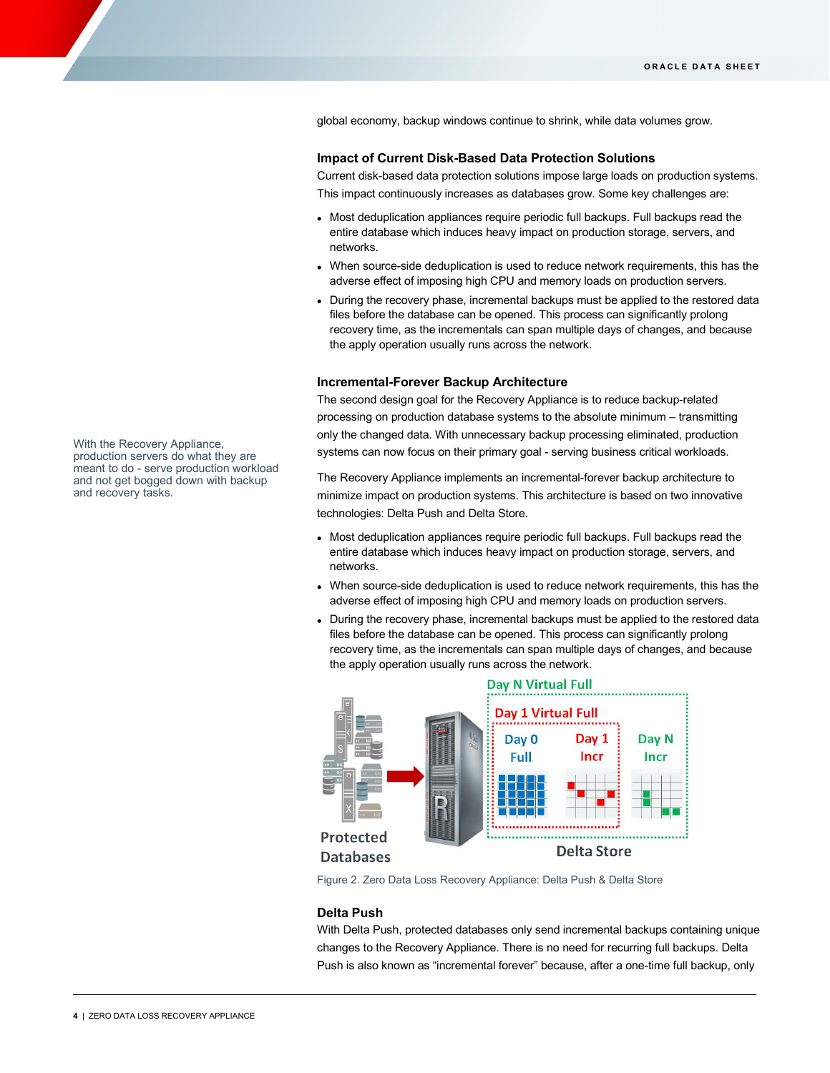global economy, backup windows continue to shrink, while data volumes grow.

# **Impact of Current Disk-Based Data Protection Solutions**

Current disk-based data protection solutions impose large loads on production systems. This impact continuously increases as databases grow. Some key challenges are:

- Most deduplication appliances require periodic full backups. Full backups read the entire database which induces heavy impact on production storage, servers, and networks.
- When source-side deduplication is used to reduce network requirements, this has the adverse effect of imposing high CPU and memory loads on production servers.
- During the recovery phase, incremental backups must be applied to the restored data files before the database can be opened. This process can significantly prolong recovery time, as the incrementals can span multiple days of changes, and because the apply operation usually runs across the network.

# **Incremental-Forever Backup Architecture**

The second design goal for the Recovery Appliance is to reduce backup-related processing on production database systems to the absolute minimum – transmitting only the changed data. With unnecessary backup processing eliminated, production systems can now focus on their primary goal - serving business critical workloads.

The Recovery Appliance implements an incremental-forever backup architecture to minimize impact on production systems. This architecture is based on two innovative technologies: Delta Push and Delta Store.

- Most deduplication appliances require periodic full backups. Full backups read the entire database which induces heavy impact on production storage, servers, and networks.
- When source-side deduplication is used to reduce network requirements, this has the adverse effect of imposing high CPU and memory loads on production servers.
- During the recovery phase, incremental backups must be applied to the restored data files before the database can be opened. This process can significantly prolong recovery time, as the incrementals can span multiple days of changes, and because the apply operation usually runs across the network.



Figure 2. Zero Data Loss Recovery Appliance: Delta Push & Delta Store

## **Delta Push**

With Delta Push, protected databases only send incremental backups containing unique changes to the Recovery Appliance. There is no need for recurring full backups. Delta Push is also known as "incremental forever" because, after a one-time full backup, only

With the Recovery Appliance, production servers do what they are meant to do - serve production workload and not get bogged down with backup and recovery tasks.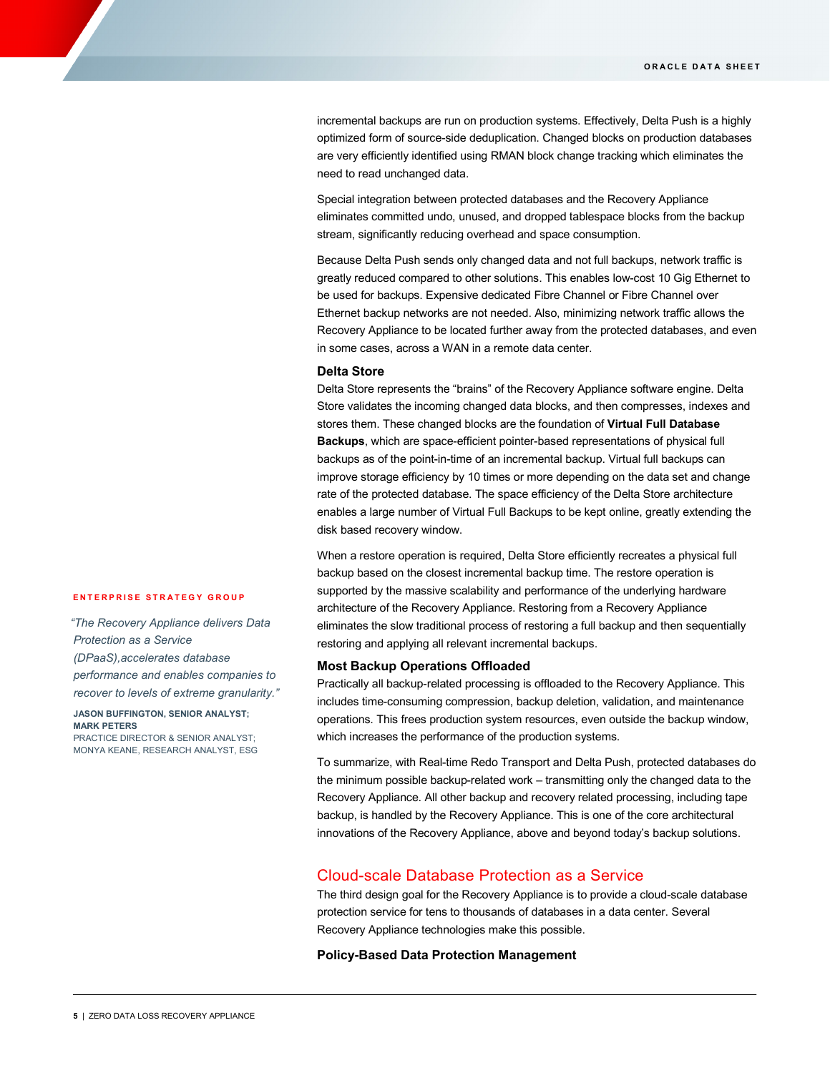incremental backups are run on production systems. Effectively, Delta Push is a highly optimized form of source-side deduplication. Changed blocks on production databases are very efficiently identified using RMAN block change tracking which eliminates the need to read unchanged data.

Special integration between protected databases and the Recovery Appliance eliminates committed undo, unused, and dropped tablespace blocks from the backup stream, significantly reducing overhead and space consumption.

Because Delta Push sends only changed data and not full backups, network traffic is greatly reduced compared to other solutions. This enables low-cost 10 Gig Ethernet to be used for backups. Expensive dedicated Fibre Channel or Fibre Channel over Ethernet backup networks are not needed. Also, minimizing network traffic allows the Recovery Appliance to be located further away from the protected databases, and even in some cases, across a WAN in a remote data center.

# **Delta Store**

Delta Store represents the "brains" of the Recovery Appliance software engine. Delta Store validates the incoming changed data blocks, and then compresses, indexes and stores them. These changed blocks are the foundation of **Virtual Full Database Backups**, which are space-efficient pointer-based representations of physical full backups as of the point-in-time of an incremental backup. Virtual full backups can improve storage efficiency by 10 times or more depending on the data set and change rate of the protected database. The space efficiency of the Delta Store architecture enables a large number of Virtual Full Backups to be kept online, greatly extending the disk based recovery window.

When a restore operation is required, Delta Store efficiently recreates a physical full backup based on the closest incremental backup time. The restore operation is supported by the massive scalability and performance of the underlying hardware architecture of the Recovery Appliance. Restoring from a Recovery Appliance eliminates the slow traditional process of restoring a full backup and then sequentially restoring and applying all relevant incremental backups.

#### **Most Backup Operations Offloaded**

Practically all backup-related processing is offloaded to the Recovery Appliance. This includes time-consuming compression, backup deletion, validation, and maintenance operations. This frees production system resources, even outside the backup window, which increases the performance of the production systems.

To summarize, with Real-time Redo Transport and Delta Push, protected databases do the minimum possible backup-related work – transmitting only the changed data to the Recovery Appliance. All other backup and recovery related processing, including tape backup, is handled by the Recovery Appliance. This is one of the core architectural innovations of the Recovery Appliance, above and beyond today's backup solutions.

# Cloud-scale Database Protection as a Service

The third design goal for the Recovery Appliance is to provide a cloud-scale database protection service for tens to thousands of databases in a data center. Several Recovery Appliance technologies make this possible.

# **Policy-Based Data Protection Management**

# **ENTERPRISE STRATEGY GROUP**

*"The Recovery Appliance delivers Data Protection as a Service* 

*(DPaaS),accelerates database* 

*performance and enables companies to recover to levels of extreme granularity."*

# **JASON BUFFINGTON, SENIOR ANALYST; MARK PETERS**

PRACTICE DIRECTOR & SENIOR ANALYST; MONYA KEANE, RESEARCH ANALYST, ESG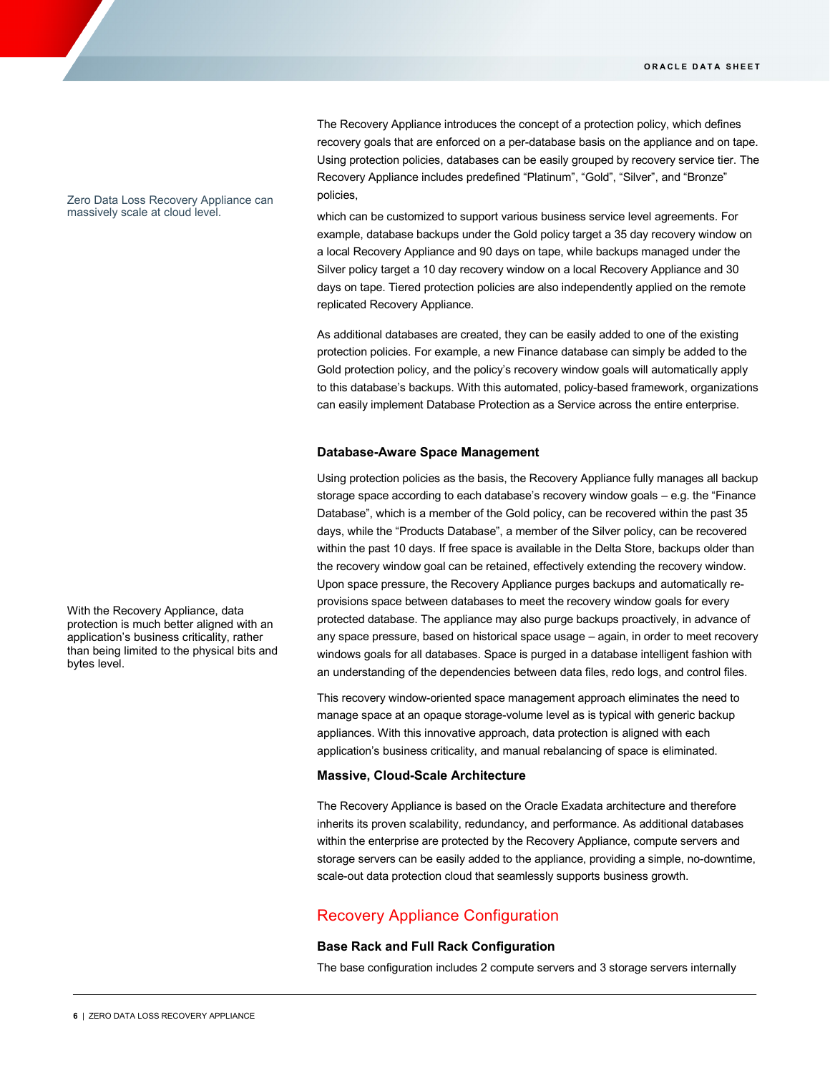The Recovery Appliance introduces the concept of a protection policy, which defines recovery goals that are enforced on a per-database basis on the appliance and on tape. Using protection policies, databases can be easily grouped by recovery service tier. The Recovery Appliance includes predefined "Platinum", "Gold", "Silver", and "Bronze" policies,

which can be customized to support various business service level agreements. For example, database backups under the Gold policy target a 35 day recovery window on a local Recovery Appliance and 90 days on tape, while backups managed under the Silver policy target a 10 day recovery window on a local Recovery Appliance and 30 days on tape. Tiered protection policies are also independently applied on the remote replicated Recovery Appliance.

As additional databases are created, they can be easily added to one of the existing protection policies. For example, a new Finance database can simply be added to the Gold protection policy, and the policy's recovery window goals will automatically apply to this database's backups. With this automated, policy-based framework, organizations can easily implement Database Protection as a Service across the entire enterprise.

# **Database-Aware Space Management**

Using protection policies as the basis, the Recovery Appliance fully manages all backup storage space according to each database's recovery window goals – e.g. the "Finance Database", which is a member of the Gold policy, can be recovered within the past 35 days, while the "Products Database", a member of the Silver policy, can be recovered within the past 10 days. If free space is available in the Delta Store, backups older than the recovery window goal can be retained, effectively extending the recovery window. Upon space pressure, the Recovery Appliance purges backups and automatically reprovisions space between databases to meet the recovery window goals for every protected database. The appliance may also purge backups proactively, in advance of any space pressure, based on historical space usage – again, in order to meet recovery windows goals for all databases. Space is purged in a database intelligent fashion with an understanding of the dependencies between data files, redo logs, and control files.

This recovery window-oriented space management approach eliminates the need to manage space at an opaque storage-volume level as is typical with generic backup appliances. With this innovative approach, data protection is aligned with each application's business criticality, and manual rebalancing of space is eliminated.

# **Massive, Cloud-Scale Architecture**

The Recovery Appliance is based on the Oracle Exadata architecture and therefore inherits its proven scalability, redundancy, and performance. As additional databases within the enterprise are protected by the Recovery Appliance, compute servers and storage servers can be easily added to the appliance, providing a simple, no-downtime, scale-out data protection cloud that seamlessly supports business growth.

# Recovery Appliance Configuration

# **Base Rack and Full Rack Configuration**

The base configuration includes 2 compute servers and 3 storage servers internally

Zero Data Loss Recovery Appliance can massively scale at cloud level.

With the Recovery Appliance, data protection is much better aligned with an application's business criticality, rather than being limited to the physical bits and bytes level.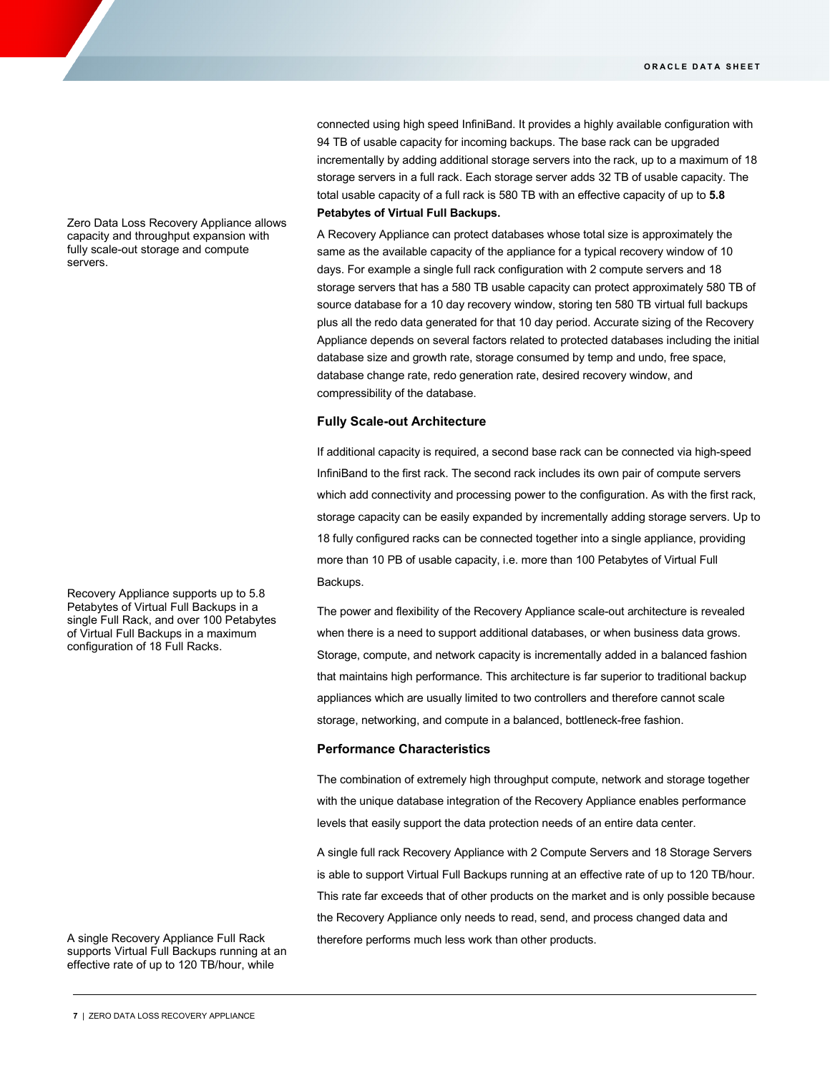connected using high speed InfiniBand. It provides a highly available configuration with 94 TB of usable capacity for incoming backups. The base rack can be upgraded incrementally by adding additional storage servers into the rack, up to a maximum of 18 storage servers in a full rack. Each storage server adds 32 TB of usable capacity. The total usable capacity of a full rack is 580 TB with an effective capacity of up to **5.8 Petabytes of Virtual Full Backups.**

A Recovery Appliance can protect databases whose total size is approximately the same as the available capacity of the appliance for a typical recovery window of 10 days. For example a single full rack configuration with 2 compute servers and 18 storage servers that has a 580 TB usable capacity can protect approximately 580 TB of source database for a 10 day recovery window, storing ten 580 TB virtual full backups plus all the redo data generated for that 10 day period. Accurate sizing of the Recovery Appliance depends on several factors related to protected databases including the initial database size and growth rate, storage consumed by temp and undo, free space, database change rate, redo generation rate, desired recovery window, and compressibility of the database.

#### **Fully Scale-out Architecture**

If additional capacity is required, a second base rack can be connected via high-speed InfiniBand to the first rack. The second rack includes its own pair of compute servers which add connectivity and processing power to the configuration. As with the first rack, storage capacity can be easily expanded by incrementally adding storage servers. Up to 18 fully configured racks can be connected together into a single appliance, providing more than 10 PB of usable capacity, i.e. more than 100 Petabytes of Virtual Full Backups.

The power and flexibility of the Recovery Appliance scale-out architecture is revealed when there is a need to support additional databases, or when business data grows. Storage, compute, and network capacity is incrementally added in a balanced fashion that maintains high performance. This architecture is far superior to traditional backup appliances which are usually limited to two controllers and therefore cannot scale storage, networking, and compute in a balanced, bottleneck-free fashion.

# **Performance Characteristics**

The combination of extremely high throughput compute, network and storage together with the unique database integration of the Recovery Appliance enables performance levels that easily support the data protection needs of an entire data center.

A single full rack Recovery Appliance with 2 Compute Servers and 18 Storage Servers is able to support Virtual Full Backups running at an effective rate of up to 120 TB/hour. This rate far exceeds that of other products on the market and is only possible because the Recovery Appliance only needs to read, send, and process changed data and therefore performs much less work than other products.

Zero Data Loss Recovery Appliance allows capacity and throughput expansion with fully scale-out storage and compute servers.

Recovery Appliance supports up to 5.8 Petabytes of Virtual Full Backups in a single Full Rack, and over 100 Petabytes of Virtual Full Backups in a maximum configuration of 18 Full Racks.

A single Recovery Appliance Full Rack supports Virtual Full Backups running at an effective rate of up to 120 TB/hour, while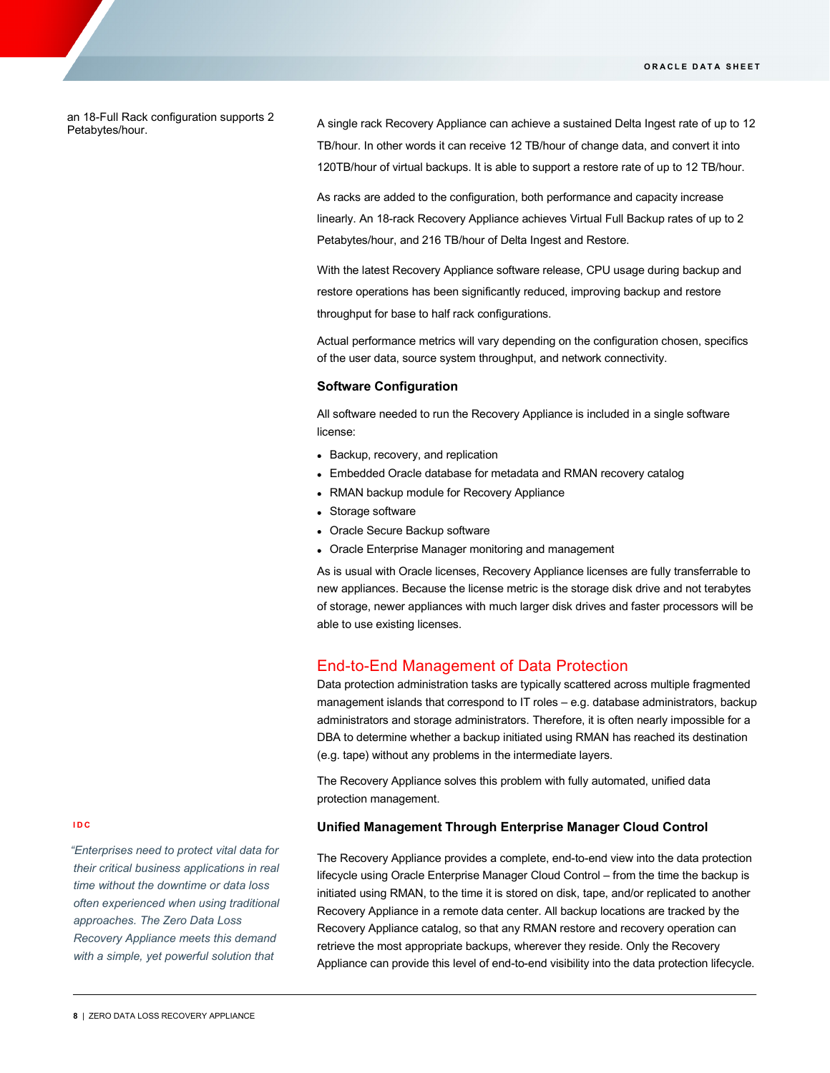#### an 18-Full Rack configuration supports 2 Petabytes/hour.

A single rack Recovery Appliance can achieve a sustained Delta Ingest rate of up to 12 TB/hour. In other words it can receive 12 TB/hour of change data, and convert it into 120TB/hour of virtual backups. It is able to support a restore rate of up to 12 TB/hour.

As racks are added to the configuration, both performance and capacity increase linearly. An 18-rack Recovery Appliance achieves Virtual Full Backup rates of up to 2 Petabytes/hour, and 216 TB/hour of Delta Ingest and Restore.

With the latest Recovery Appliance software release, CPU usage during backup and restore operations has been significantly reduced, improving backup and restore throughput for base to half rack configurations.

Actual performance metrics will vary depending on the configuration chosen, specifics of the user data, source system throughput, and network connectivity.

# **Software Configuration**

All software needed to run the Recovery Appliance is included in a single software license:

- Backup, recovery, and replication
- Embedded Oracle database for metadata and RMAN recovery catalog
- RMAN backup module for Recovery Appliance
- Storage software
- Oracle Secure Backup software
- Oracle Enterprise Manager monitoring and management

As is usual with Oracle licenses, Recovery Appliance licenses are fully transferrable to new appliances. Because the license metric is the storage disk drive and not terabytes of storage, newer appliances with much larger disk drives and faster processors will be able to use existing licenses.

# End-to-End Management of Data Protection

Data protection administration tasks are typically scattered across multiple fragmented management islands that correspond to IT roles – e.g. database administrators, backup administrators and storage administrators. Therefore, it is often nearly impossible for a DBA to determine whether a backup initiated using RMAN has reached its destination (e.g. tape) without any problems in the intermediate layers.

The Recovery Appliance solves this problem with fully automated, unified data protection management.

# **Unified Management Through Enterprise Manager Cloud Control**

The Recovery Appliance provides a complete, end-to-end view into the data protection lifecycle using Oracle Enterprise Manager Cloud Control – from the time the backup is initiated using RMAN, to the time it is stored on disk, tape, and/or replicated to another Recovery Appliance in a remote data center. All backup locations are tracked by the Recovery Appliance catalog, so that any RMAN restore and recovery operation can retrieve the most appropriate backups, wherever they reside. Only the Recovery Appliance can provide this level of end-to-end visibility into the data protection lifecycle.

#### **IDC**

*"Enterprises need to protect vital data for their critical business applications in real time without the downtime or data loss often experienced when using traditional approaches. The Zero Data Loss Recovery Appliance meets this demand with a simple, yet powerful solution that*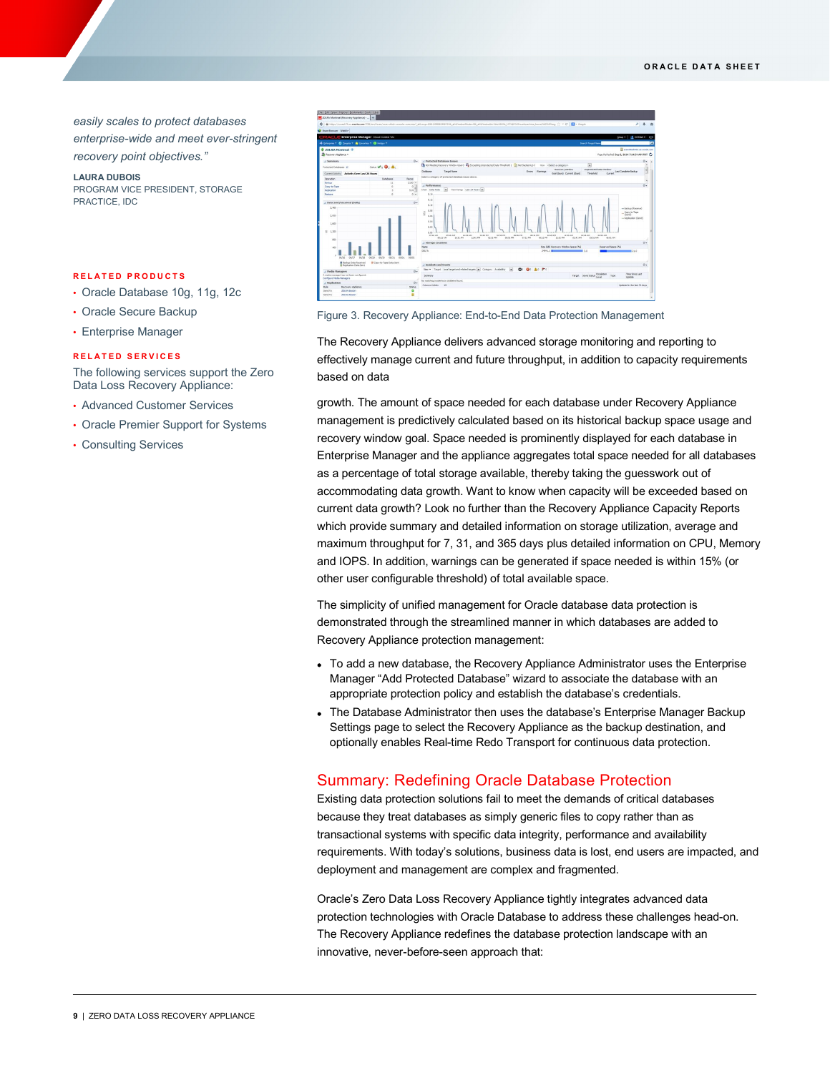*easily scales to protect databases enterprise-wide and meet ever-stringent recovery point objectives."*

**LAURA DUBOIS** PROGRAM VICE PRESIDENT, STORAGE PRACTICE, IDC

#### **RELATED PRODUCTS**

- Oracle Database 10g, 11g, 12c
- Oracle Secure Backup
- Enterprise Manager

#### **RELATED SERVICES**

The following services support the Zero Data Loss Recovery Appliance:

- Advanced Customer Services
- Oracle Premier Support for Systems
- Consulting Services



Figure 3. Recovery Appliance: End-to-End Data Protection Management

The Recovery Appliance delivers advanced storage monitoring and reporting to effectively manage current and future throughput, in addition to capacity requirements based on data

growth. The amount of space needed for each database under Recovery Appliance management is predictively calculated based on its historical backup space usage and recovery window goal. Space needed is prominently displayed for each database in Enterprise Manager and the appliance aggregates total space needed for all databases as a percentage of total storage available, thereby taking the guesswork out of accommodating data growth. Want to know when capacity will be exceeded based on current data growth? Look no further than the Recovery Appliance Capacity Reports which provide summary and detailed information on storage utilization, average and maximum throughput for 7, 31, and 365 days plus detailed information on CPU, Memory and IOPS. In addition, warnings can be generated if space needed is within 15% (or other user configurable threshold) of total available space.

The simplicity of unified management for Oracle database data protection is demonstrated through the streamlined manner in which databases are added to Recovery Appliance protection management:

- To add a new database, the Recovery Appliance Administrator uses the Enterprise Manager "Add Protected Database" wizard to associate the database with an appropriate protection policy and establish the database's credentials.
- The Database Administrator then uses the database's Enterprise Manager Backup Settings page to select the Recovery Appliance as the backup destination, and optionally enables Real-time Redo Transport for continuous data protection.

# Summary: Redefining Oracle Database Protection

Existing data protection solutions fail to meet the demands of critical databases because they treat databases as simply generic files to copy rather than as transactional systems with specific data integrity, performance and availability requirements. With today's solutions, business data is lost, end users are impacted, and deployment and management are complex and fragmented.

Oracle's Zero Data Loss Recovery Appliance tightly integrates advanced data protection technologies with Oracle Database to address these challenges head-on. The Recovery Appliance redefines the database protection landscape with an innovative, never-before-seen approach that: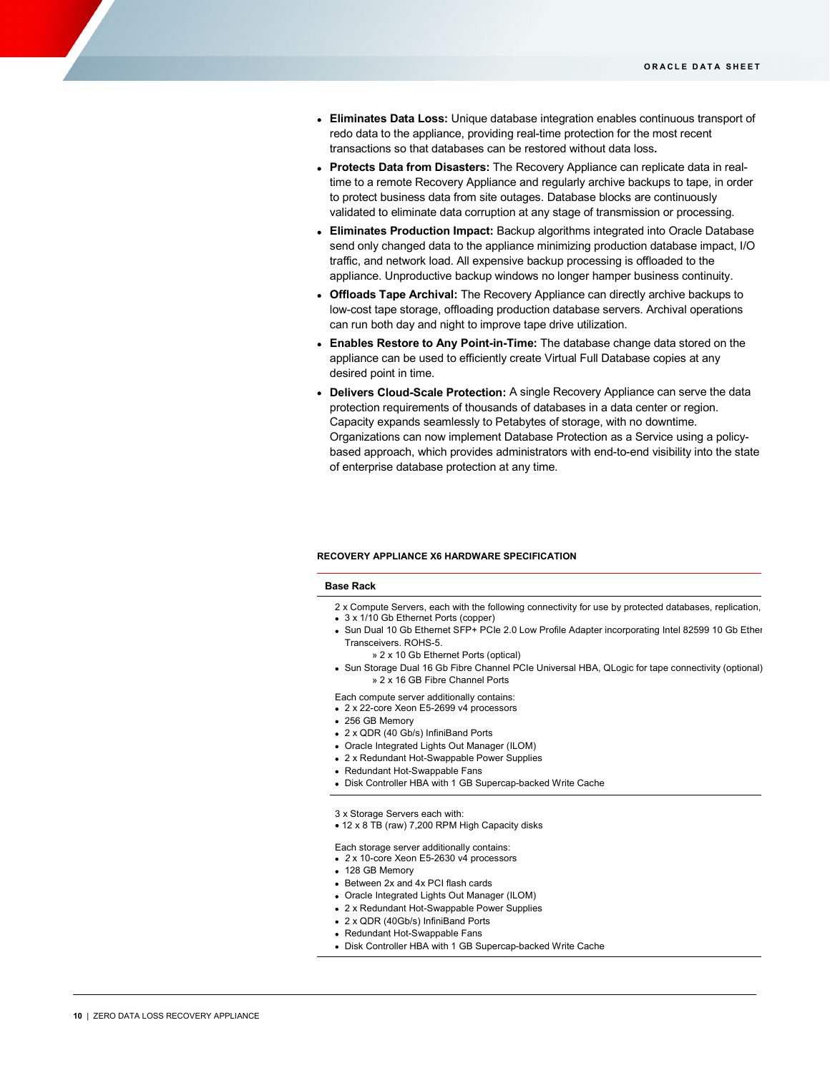- **Eliminates Data Loss:** Unique database integration enables continuous transport of redo data to the appliance, providing real-time protection for the most recent transactions so that databases can be restored without data loss**.**
- **Protects Data from Disasters:** The Recovery Appliance can replicate data in realtime to a remote Recovery Appliance and regularly archive backups to tape, in order to protect business data from site outages. Database blocks are continuously validated to eliminate data corruption at any stage of transmission or processing.
- **Eliminates Production Impact:** Backup algorithms integrated into Oracle Database send only changed data to the appliance minimizing production database impact, I/O traffic, and network load. All expensive backup processing is offloaded to the appliance. Unproductive backup windows no longer hamper business continuity.
- **Offloads Tape Archival:** The Recovery Appliance can directly archive backups to low-cost tape storage, offloading production database servers. Archival operations can run both day and night to improve tape drive utilization.
- **Enables Restore to Any Point-in-Time:** The database change data stored on the appliance can be used to efficiently create Virtual Full Database copies at any desired point in time.
- **Delivers Cloud-Scale Protection:** A single Recovery Appliance can serve the data protection requirements of thousands of databases in a data center or region. Capacity expands seamlessly to Petabytes of storage, with no downtime. Organizations can now implement Database Protection as a Service using a policybased approach, which provides administrators with end-to-end visibility into the state of enterprise database protection at any time.

#### **RECOVERY APPLIANCE X6 HARDWARE SPECIFICATION**

#### **Base Rack**

- 2 x Compute Servers, each with the following connectivity for use by protected databases, replication, • 3 x 1/10 Gb Ethernet Ports (copper)
- Sun Dual 10 Gb Ethernet SFP+ PCIe 2.0 Low Profile Adapter incorporating Intel 82599 10 Gb Ether Transceivers. ROHS-5.
	- » 2 x 10 Gb Ethernet Ports (optical)
- Sun Storage Dual 16 Gb Fibre Channel PCIe Universal HBA, QLogic for tape connectivity (optional) » 2 x 16 GB Fibre Channel Ports
- Each compute server additionally contains:
- 2 x 22-core Xeon E5-2699 v4 processors
- 256 GB Memory
- 2 x QDR (40 Gb/s) InfiniBand Ports
- Oracle Integrated Lights Out Manager (ILOM)
- 2 x Redundant Hot-Swappable Power Supplies
- Redundant Hot-Swappable Fans
- Disk Controller HBA with 1 GB Supercap-backed Write Cache
- 3 x Storage Servers each with:
- 12 x 8 TB (raw) 7,200 RPM High Capacity disks
- Each storage server additionally contains:
- *2* x 10-core Xeon E5-2630 v4 processors
- 128 GB Memory
- Between 2x and 4x PCI flash cards
- Oracle Integrated Lights Out Manager (ILOM)
- 2 x Redundant Hot-Swappable Power Supplies
- 2 x QDR (40Gb/s) InfiniBand Ports
- Redundant Hot-Swappable Fans
- Disk Controller HBA with 1 GB Supercap-backed Write Cache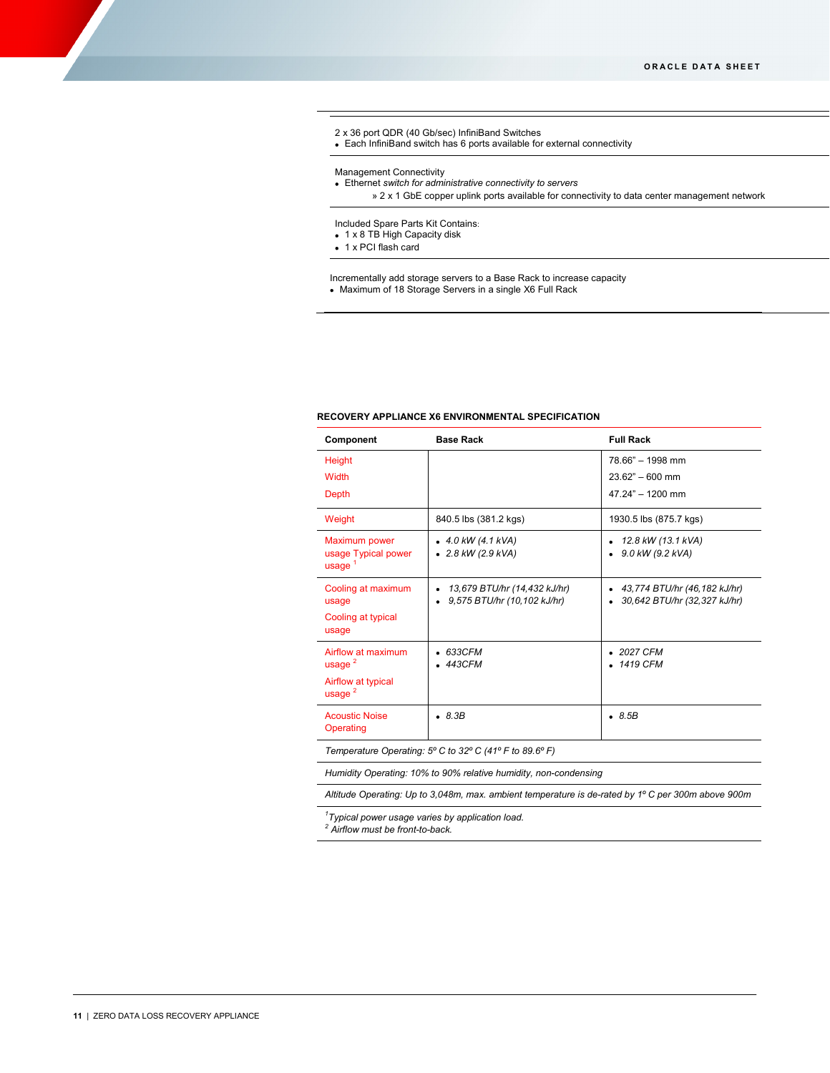# 2 x 36 port QDR (40 Gb/sec) InfiniBand Switches

• Each InfiniBand switch has 6 ports available for external connectivity

#### Management Connectivity

• Ethernet *switch for administrative connectivity to servers*

» 2 x 1 GbE copper uplink ports available for connectivity to data center management network

#### Included Spare Parts Kit Contains:

• 1 x 8 TB High Capacity disk

• 1 x PCI flash card

Incrementally add storage servers to a Base Rack to increase capacity • Maximum of 18 Storage Servers in a single X6 Full Rack

# **RECOVERY APPLIANCE X6 ENVIRONMENTAL SPECIFICATION**

| Component                          | <b>Base Rack</b>             | <b>Full Rack</b>             |
|------------------------------------|------------------------------|------------------------------|
| Height                             |                              | 78.66" - 1998 mm             |
| Width                              |                              | $23.62" - 600$ mm            |
| Depth                              |                              | $47.24" - 1200$ mm           |
| Weight                             | 840.5 lbs (381.2 kgs)        | 1930.5 lbs (875.7 kgs)       |
| Maximum power                      | $\bullet$ 4.0 kW (4.1 kVA)   | 12.8 kW (13.1 kVA)           |
| usage Typical power<br>usage $1$   | $\bullet$ 2.8 kW (2.9 kVA)   | $9.0$ kW (9.2 kVA)           |
| Cooling at maximum                 | 13,679 BTU/hr (14,432 kJ/hr) | 43,774 BTU/hr (46,182 kJ/hr) |
| usage                              | 9,575 BTU/hr (10,102 kJ/hr)  | 30,642 BTU/hr (32,327 kJ/hr) |
| Cooling at typical<br>usage        |                              |                              |
| Airflow at maximum                 | 633CFM                       | $\bullet$ 2027 CFM           |
| usage $^2$                         | 443CFM                       | • 1419 CFM                   |
| Airflow at typical<br>usage $2$    |                              |                              |
| <b>Acoustic Noise</b><br>Operating | $\bullet$ 8.3B               | .8.5B                        |
|                                    |                              |                              |

*Temperature Operating: 5º C to 32º C (41º F to 89.6º F)*

*Humidity Operating: 10% to 90% relative humidity, non-condensing*

*Altitude Operating: Up to 3,048m, max. ambient temperature is de-rated by 1º C per 300m above 900m*

*1 Typical power usage varies by application load. <sup>2</sup> Airflow must be front-to-back.*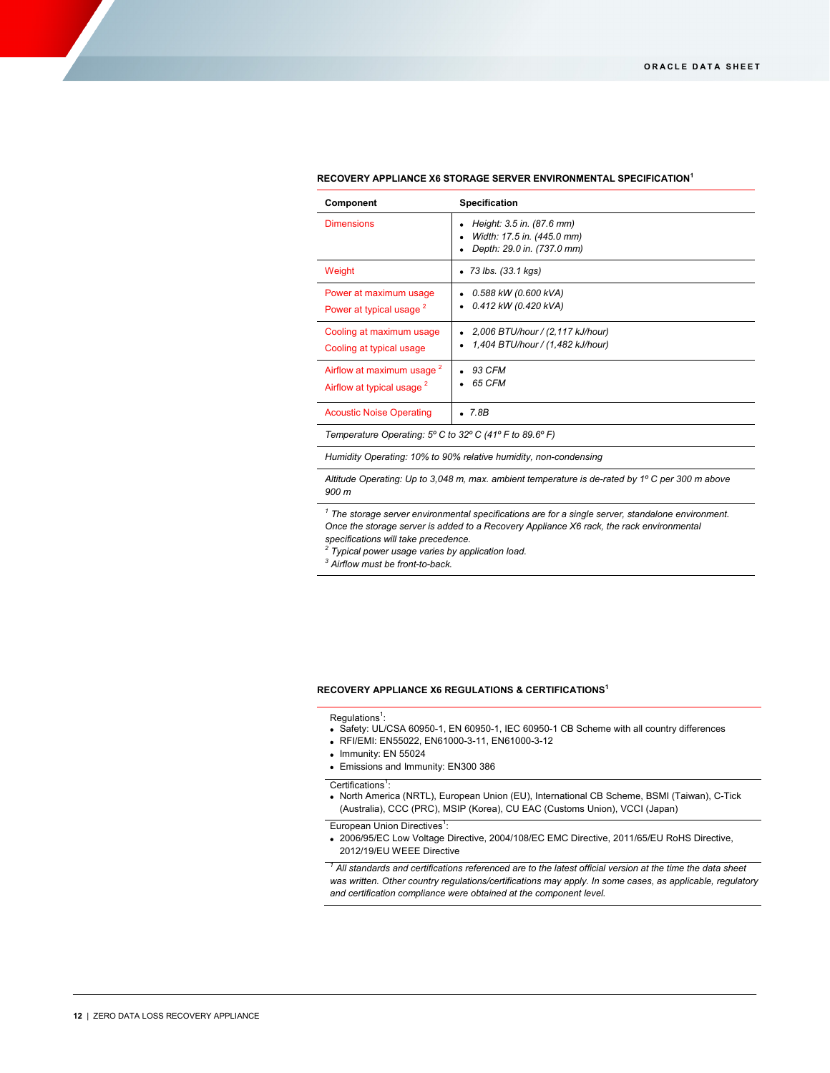| Component                                                                      | Specification                                                                         |
|--------------------------------------------------------------------------------|---------------------------------------------------------------------------------------|
| <b>Dimensions</b>                                                              | Height: 3.5 in. (87.6 mm)<br>Width: 17.5 in. (445.0 mm)<br>Depth: 29.0 in. (737.0 mm) |
| Weight                                                                         | $\bullet$ 73 lbs. (33.1 kgs)                                                          |
| Power at maximum usage<br>Power at typical usage <sup>2</sup>                  | 0.588 kW (0.600 kVA)<br>0.412 kW (0.420 kVA)                                          |
| Cooling at maximum usage<br>Cooling at typical usage                           | 2,006 BTU/hour / (2,117 kJ/hour)<br>1,404 BTU/hour / (1,482 kJ/hour)                  |
| Airflow at maximum usage <sup>2</sup><br>Airflow at typical usage <sup>2</sup> | 93 CFM<br>65 CFM                                                                      |
| <b>Acoustic Noise Operating</b>                                                | $\bullet$ 7.8B                                                                        |

#### **RECOVERY APPLIANCE X6 STORAGE SERVER ENVIRONMENTAL SPECIFICATION<sup>1</sup>**

*Temperature Operating: 5º C to 32º C (41º F to 89.6º F)*

*Humidity Operating: 10% to 90% relative humidity, non-condensing*

*Altitude Operating: Up to 3,048 m, max. ambient temperature is de-rated by 1º C per 300 m above 900 m*

*<sup>1</sup> The storage server environmental specifications are for a single server, standalone environment. Once the storage server is added to a Recovery Appliance X6 rack, the rack environmental* 

*specifications will take precedence. <sup>2</sup> Typical power usage varies by application load.*

*<sup>3</sup> Airflow must be front-to-back.*

#### **RECOVERY APPLIANCE X6 REGULATIONS & CERTIFICATIONS<sup>1</sup>**

 $\mathsf{Regulations}^1$ :

- Safety: UL/CSA 60950-1, EN 60950-1, IEC 60950-1 CB Scheme with all country differences
- RFI/EMI: EN55022, EN61000-3-11, EN61000-3-12

:

- Immunity: EN 55024
- Emissions and Immunity: EN300 386

Certifications<sup>1</sup>:

• North America (NRTL), European Union (EU), International CB Scheme, BSMI (Taiwan), C-Tick (Australia), CCC (PRC), MSIP (Korea), CU EAC (Customs Union), VCCI (Japan)

European Union Directives<sup>1</sup>

• 2006/95/EC Low Voltage Directive, 2004/108/EC EMC Directive, 2011/65/EU RoHS Directive, 2012/19/EU WEEE Directive

*<sup>1</sup> All standards and certifications referenced are to the latest official version at the time the data sheet was written. Other country regulations/certifications may apply. In some cases, as applicable, regulatory and certification compliance were obtained at the component level.*